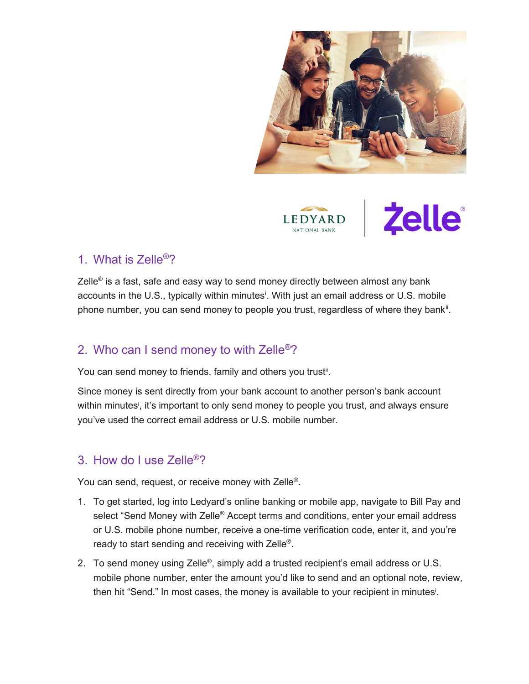

<span id="page-0-2"></span>

<span id="page-0-0"></span>

#### 1. What is Zelle<sup>®</sup>?

<span id="page-0-1"></span>Zelle<sup>®</sup> is a fast, safe and easy way to send money directly between almost any bank accounts [i](#page-4-0)n the U.S., typically within minutes<sup>i</sup>. With just an email address or U.S. mobile phone number, you can send money to people you trust, regardless of where they bank<sup>[ii](#page-4-1)</sup>.

# 2. Who can I send money to with Zelle®?

You can send money to friends, family and others you trust<sub>"[.](#page-0-0)</sub>

Since money is sent directly from your bank account to another person's bank account within minute[s](#page-0-1)<sup>i</sup>, it's important to only send money to people you trust, and always ensure you've used the correct email address or U.S. mobile number.

# 3. How do I use Zelle<sup>®</sup>?

You can send, request, or receive money with Zelle®.

- 1. To get started, log into Ledyard's online banking or mobile app, navigate to Bill Pay and select "Send Money with Zelle<sup>®</sup> Accept terms and conditions, enter your email address or U.S. mobile phone number, receive a one-time verification code, enter it, and you're ready to start sending and receiving with Zelle<sup>®</sup>.
- 2. To send money using Zelle<sup>®</sup>, simply add a trusted recipient's email address or U.S. mobile phone number, enter the amount you'd like to send and an optional note, review, then hit "Send." In most cases, the money is available to your recipient in minute[si](#page-0-1) .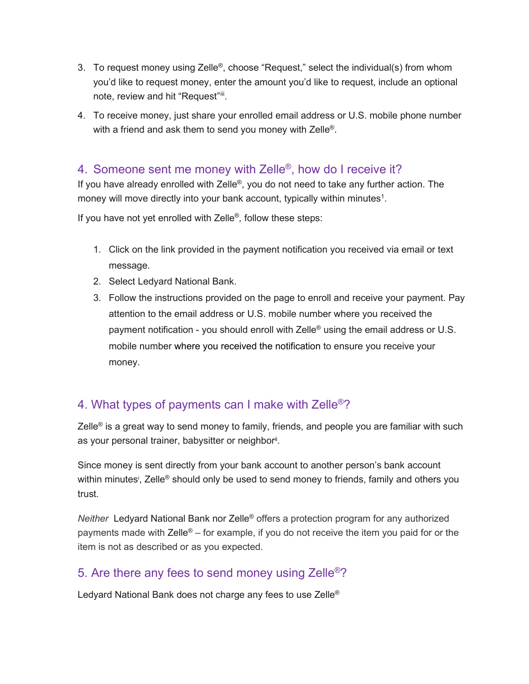- 3. To request money using Zelle<sup>®</sup>, choose "Request," select the individual(s) from whom you'd like to request money, enter the amount you'd like to request, include an optional note, review and hit "Request"[iii.](#page-4-2)
- 4. To receive money, just share your enrolled email address or U.S. mobile phone number with a friend and ask them to send you money with Zelle<sup>®</sup>.

#### 4. Someone sent me money with Zelle<sup>®</sup>, how do I receive it?

If you have already enrolled with Zelle<sup>®</sup>, you do not need to take any further action. The money will move directly into your bank account, typically within minutes<sup>1</sup>.

If you have not yet enrolled with Zelle®*,* follow these steps:

- 1. Click on the link provided in the payment notification you received via email or text message.
- 2. Select Ledyard National Bank.
- 3. Follow the instructions provided on the page to enroll and receive your payment. Pay attention to the email address or U.S. mobile number where you received the payment notification - you should enroll with Zelle<sup>®</sup> using the email address or U.S. mobile number where you received the notification to ensure you receive your money.

# 4. What types of payments can I make with Zelle<sup>®</sup>?

Zelle<sup>®</sup> is a great way to send money to family, friends, and people you are familiar with such as your personal trainer, babysitter or neighbor<sup>ii</sup>.

Since money is sent directly from your bank account to another person's bank account within minute[s](#page-0-1)<sup>i</sup>, Zelle® should only be used to send money to friends, family and others you trust*.*

*Neither* Ledyard National Bank nor Zelle® offers a protection program for any authorized payments made with Zelle® – for example, if you do not receive the item you paid for or the item is not as described or as you expected.

# 5. Are there any fees to send money using Zelle<sup>®</sup>?

Ledyard National Bank does not charge any fees to use Zelle<sup>®</sup>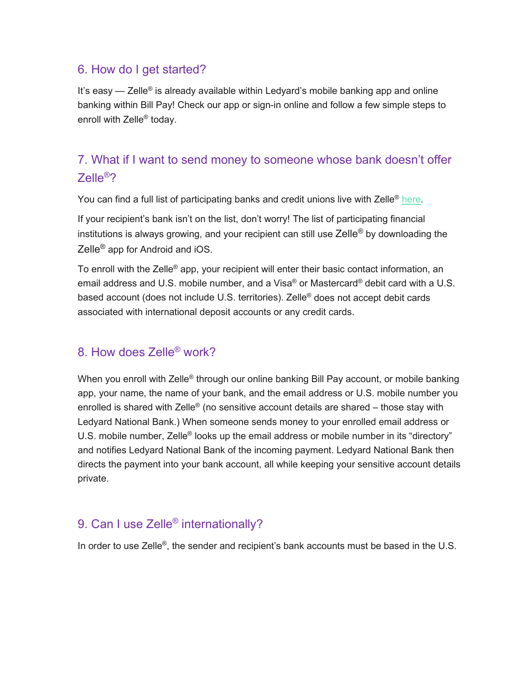#### 6. How do I get started?

It's easy  $-$  Zelle<sup>®</sup> is already available within Ledyard's mobile banking app and online banking within Bill Pay! Check our app or sign-in online and follow a few simple steps to enroll with Zelle® today.

# 7. What if I want to send money to someone whose bank doesn't offer Zelle®?

You can find a full list of participating banks and credit unions live with Zelle<sup>®</sup> [here.](https://www.zellepay.com/participating-banks-and-credit-unions)

If your recipient's bank isn't on the list, don't worry! The list of participating financial institutions is always growing, and your recipient can still use Zelle<sup>®</sup> by downloading the Zelle® app for Android and iOS.

To enroll with the Zelle<sup>®</sup> app, your recipient will enter their basic contact information, an email address and U.S. mobile number, and a Visa® or Mastercard® debit card with a U.S. based account (does not include U.S. territories). Zelle® does not accept debit cards associated with international deposit accounts or any credit cards.

#### 8. How does Zelle® work?

When you enroll with Zelle<sup>®</sup> through our online banking Bill Pay account, or mobile banking app, your name, the name of your bank, and the email address or U.S. mobile number you enrolled is shared with Zelle® (no sensitive account details are shared – those stay with Ledyard National Bank.) When someone sends money to your enrolled email address or U.S. mobile number, Zelle<sup>®</sup> looks up the email address or mobile number in its "directory" and notifies Ledyard National Bank of the incoming payment. Ledyard National Bank then directs the payment into your bank account, all while keeping your sensitive account details private.

### 9. Can I use Zelle<sup>®</sup> internationally?

In order to use Zelle®, the sender and recipient's bank accounts must be based in the U.S.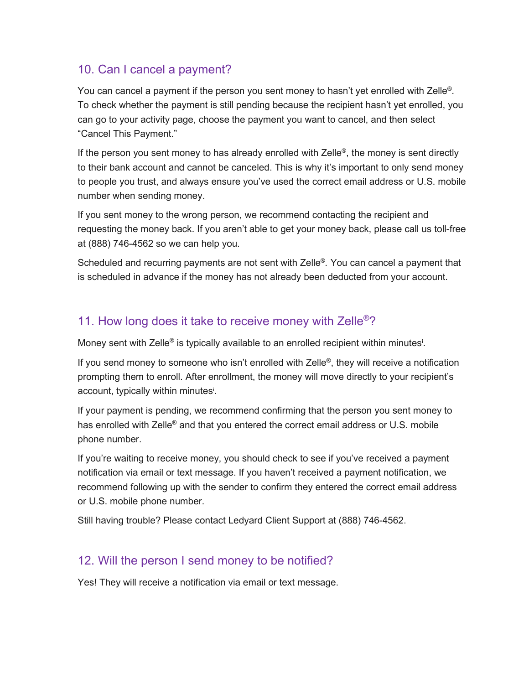## 10. Can I cancel a payment?

You can cancel a payment if the person you sent money to hasn't yet enrolled with Zelle®*.* To check whether the payment is still pending because the recipient hasn't yet enrolled, you can go to your activity page, choose the payment you want to cancel, and then select "Cancel This Payment."

If the person you sent money to has already enrolled with Zelle<sup>®</sup>, the money is sent directly to their bank account and cannot be canceled. This is why it's important to only send money to people you trust, and always ensure you've used the correct email address or U.S. mobile number when sending money.

If you sent money to the wrong person, we recommend contacting the recipient and requesting the money back. If you aren't able to get your money back, please call us toll-free at (888) 746-4562 so we can help you.

Scheduled and recurring payments are not sent with Zelle®*.* You can cancel a payment that is scheduled in advance if the money has not already been deducted from your account.

## 11. How long does it take to receive money with Zelle<sup>®</sup>?

Money [s](#page-0-1)ent with Zelle® is typically available to an enrolled recipient within minutes<sup>i</sup>.

If you send money to someone who isn't enrolled with  $\mathsf{Zelle}^{\otimes}$ , they will receive a notification prompting them to enroll. After enrollment, the money will move directly to your recipient's account, typically within minute[s](#page-0-2)<sup>i</sup> .

If your payment is pending, we recommend confirming that the person you sent money to has enrolled with Zelle<sup>®</sup> and that you entered the correct email address or U.S. mobile phone number.

If you're waiting to receive money, you should check to see if you've received a payment notification via email or text message. If you haven't received a payment notification, we recommend following up with the sender to confirm they entered the correct email address or U.S. mobile phone number.

Still having trouble? Please contact Ledyard Client Support at (888) 746-4562.

### 12. Will the person I send money to be notified?

Yes! They will receive a notification via email or text message.